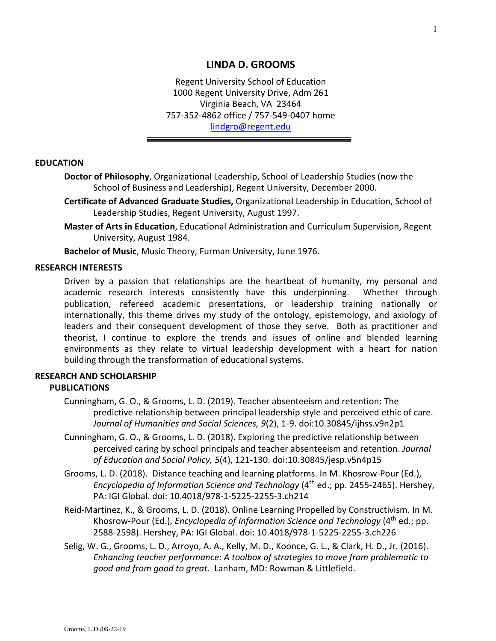### **LINDA D. GROOMS**

Regent University School of Education 1000 Regent University Drive, Adm 261 Virginia Beach, VA 23464 757-352-4862 office / 757-549-0407 home [lindgro@regent.edu](mailto:lindgro@regent.edu)

#### **EDUCATION**

**Doctor of Philosophy**, Organizational Leadership, School of Leadership Studies (now the School of Business and Leadership), Regent University, December 2000.

- **Certificate of Advanced Graduate Studies,** Organizational Leadership in Education, School of Leadership Studies, Regent University, August 1997.
- **Master of Arts in Education**, Educational Administration and Curriculum Supervision, Regent University, August 1984.

**Bachelor of Music**, Music Theory, Furman University, June 1976.

#### **RESEARCH INTERESTS**

Driven by a passion that relationships are the heartbeat of humanity, my personal and academic research interests consistently have this underpinning. Whether through publication, refereed academic presentations, or leadership training nationally or internationally, this theme drives my study of the ontology, epistemology, and axiology of leaders and their consequent development of those they serve. Both as practitioner and theorist, I continue to explore the trends and issues of online and blended learning environments as they relate to virtual leadership development with a heart for nation building through the transformation of educational systems.

### **RESEARCH AND SCHOLARSHIP PUBLICATIONS**

- Cunningham, G. O., & Grooms, L. D. (2019). Teacher absenteeism and retention: The predictive relationship between principal leadership style and perceived ethic of care. *Journal of Humanities and Social Sciences, 9*(2), 1-9. doi:10.30845/ijhss.v9n2p1
- Cunningham, G. O., & Grooms, L. D. (2018). Exploring the predictive relationship between perceived caring by school principals and teacher absenteeism and retention. *Journal of Education and Social Policy, 5*(4), 121-130. doi:10.30845/jesp.v5n4p15
- Grooms, L. D. (2018). Distance teaching and learning platforms. In M. Khosrow-Pour (Ed.), *Encyclopedia of Information Science and Technology* (4<sup>th</sup> ed.; pp. 2455-2465). Hershey, PA: IGI Global. doi: 10.4018/978-1-5225-2255-3.ch214
- Reid-Martinez, K., & Grooms, L. D. (2018). Online Learning Propelled by Constructivism. In M. Khosrow-Pour (Ed.), *Encyclopedia of Information Science and Technology* (4<sup>th</sup> ed.; pp. 2588-2598). Hershey, PA: IGI Global. doi: 10.4018/978-1-5225-2255-3.ch226
- Selig, W. G., Grooms, L. D., Arroyo, A. A., Kelly, M. D., Koonce, G. L., & Clark, H. D., Jr. (2016). *Enhancing teacher performance: A toolbox of strategies to move from problematic to good and from good to great.* Lanham, MD: Rowman & Littlefield.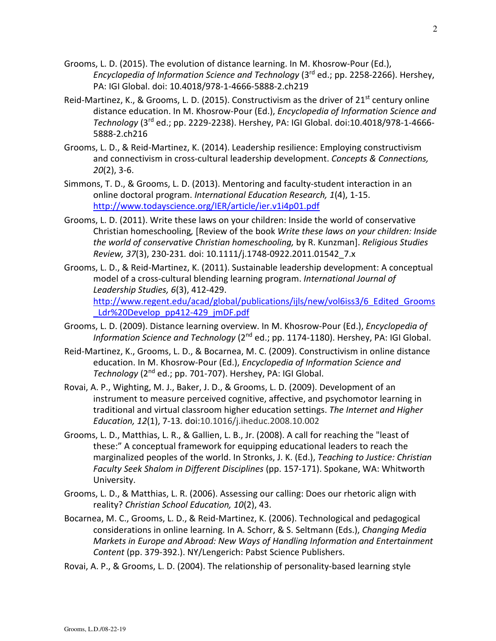- Grooms, L. D. (2015). The evolution of distance learning. In M. Khosrow-Pour (Ed.), *Encyclopedia of Information Science and Technology* (3<sup>rd</sup> ed.; pp. 2258-2266). Hershey, PA: IGI Global. doi: 10.4018/978-1-4666-5888-2.ch219
- Reid-Martinez, K., & Grooms, L. D. (2015). Constructivism as the driver of 21<sup>st</sup> century online distance education. In M. Khosrow-Pour (Ed.), *Encyclopedia of Information Science and Technology* (3rd ed.; pp. 2229-2238). Hershey, PA: IGI Global. doi:10.4018/978-1-4666- 5888-2.ch216
- Grooms, L. D., & Reid-Martinez, K. (2014). Leadership resilience: Employing constructivism and connectivism in cross-cultural leadership development. *Concepts & Connections, 20*(2), 3-6.
- Simmons, T. D., & Grooms, L. D. (2013). Mentoring and faculty-student interaction in an online doctoral program. *International Education Research, 1*(4), 1-15. <http://www.todayscience.org/IER/article/ier.v1i4p01.pdf>
- Grooms, L. D. (2011). Write these laws on your children: Inside the world of conservative Christian homeschooling*,* [Review of the book *Write these laws on your children: Inside the world of conservative Christian homeschooling,* by R. Kunzman]. *Religious Studies Review, 37*(3), 230-231*.* doi: 10.1111/j.1748-0922.2011.01542\_7.x
- Grooms, L. D., & Reid-Martinez, K. (2011). Sustainable leadership development: A conceptual model of a cross-cultural blending learning program. *International Journal of Leadership Studies, 6*(3), 412-429. [http://www.regent.edu/acad/global/publications/ijls/new/vol6iss3/6\\_Edited\\_Grooms](http://www.regent.edu/acad/global/publications/ijls/new/vol6iss3/6_Edited_Grooms_Ldr%20Develop_pp412-429_jmDF.pdf) Ldr%20Develop\_pp412-429\_jmDF.pdf
- Grooms, L. D. (2009). Distance learning overview. In M. Khosrow-Pour (Ed.), *Encyclopedia of Information Science and Technology* (2<sup>nd</sup> ed.; pp. 1174-1180). Hershey, PA: IGI Global.
- Reid-Martinez, K., Grooms, L. D., & Bocarnea, M. C. (2009). Constructivism in online distance education. In M. Khosrow-Pour (Ed.), *Encyclopedia of Information Science and Technology* (2nd ed.; pp. 701-707). Hershey, PA: IGI Global.
- Rovai, A. P., Wighting, M. J., Baker, J. D., & Grooms, L. D. (2009). Development of an instrument to measure perceived cognitive, affective, and psychomotor learning in traditional and virtual classroom higher education settings. *The Internet and Higher Education, 12*(1), 7-13*.* doi:10.1016/j.iheduc.2008.10.002
- Grooms, L. D., Matthias, L. R., & Gallien, L. B., Jr. (2008). A call for reaching the "least of these:" A conceptual framework for equipping educational leaders to reach the marginalized peoples of the world. In Stronks, J. K. (Ed.), *Teaching to Justice: Christian Faculty Seek Shalom in Different Disciplines* (pp. 157-171). Spokane, WA: Whitworth University.
- Grooms, L. D., & Matthias, L. R. (2006). Assessing our calling: Does our rhetoric align with reality? *Christian School Education, 10*(2), 43.
- Bocarnea, M. C., Grooms, L. D., & Reid-Martinez, K. (2006). Technological and pedagogical considerations in online learning. In A. Schorr, & S. Seltmann (Eds.), *Changing Media Markets in Europe and Abroad: New Ways of Handling Information and Entertainment Content* (pp. 379-392.). NY/Lengerich: Pabst Science Publishers.
- Rovai, A. P., & Grooms, L. D. (2004). The relationship of personality-based learning style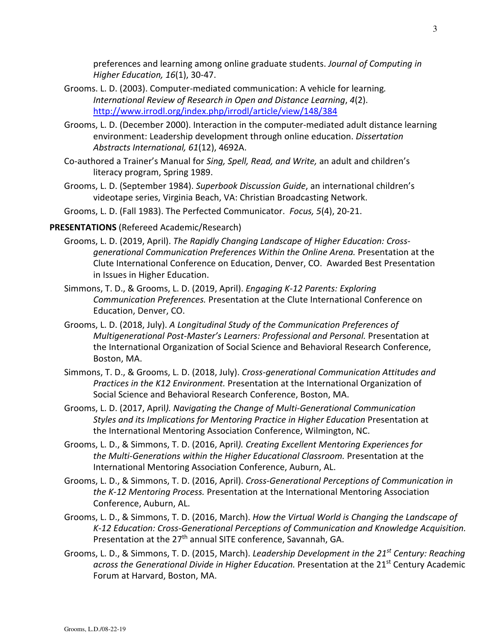preferences and learning among online graduate students. *Journal of Computing in Higher Education, 16*(1), 30-47.

- Grooms. L. D. (2003). Computer-mediated communication: A vehicle for learning*. International Review of Research in Open and Distance Learning*, *4*(2). <http://www.irrodl.org/index.php/irrodl/article/view/148/384>
- Grooms, L. D. (December 2000). Interaction in the computer-mediated adult distance learning environment: Leadership development through online education. *Dissertation Abstracts International, 61*(12), 4692A.
- Co-authored a Trainer's Manual for *Sing, Spell, Read, and Write,* an adult and children's literacy program, Spring 1989.
- Grooms, L. D. (September 1984). *Superbook Discussion Guide*, an international children's videotape series, Virginia Beach, VA: Christian Broadcasting Network.
- Grooms, L. D. (Fall 1983). The Perfected Communicator. *Focus, 5*(4), 20-21.

#### **PRESENTATIONS** (Refereed Academic/Research)

- Grooms, L. D. (2019, April). *The Rapidly Changing Landscape of Higher Education: Crossgenerational Communication Preferences Within the Online Arena.* Presentation at the Clute International Conference on Education, Denver, CO. Awarded Best Presentation in Issues in Higher Education.
- Simmons, T. D., & Grooms, L. D. (2019, April). *Engaging K-12 Parents: Exploring Communication Preferences.* Presentation at the Clute International Conference on Education, Denver, CO.
- Grooms, L. D. (2018, July). *A Longitudinal Study of the Communication Preferences of Multigenerational Post-Master's Learners: Professional and Personal.* Presentation at the International Organization of Social Science and Behavioral Research Conference, Boston, MA.
- Simmons, T. D., & Grooms, L. D. (2018, July). *Cross-generational Communication Attitudes and Practices in the K12 Environment.* Presentation at the International Organization of Social Science and Behavioral Research Conference, Boston, MA.
- Grooms, L. D. (2017, April*). Navigating the Change of Multi-Generational Communication Styles and its Implications for Mentoring Practice in Higher Education* Presentation at the International Mentoring Association Conference, Wilmington, NC.
- Grooms, L. D., & Simmons, T. D. (2016, April*). Creating Excellent Mentoring Experiences for the Multi-Generations within the Higher Educational Classroom.* Presentation at the International Mentoring Association Conference, Auburn, AL.
- Grooms, L. D., & Simmons, T. D. (2016, April). *Cross-Generational Perceptions of Communication in the K-12 Mentoring Process.* Presentation at the International Mentoring Association Conference, Auburn, AL.
- Grooms, L. D., & Simmons, T. D. (2016, March). *How the Virtual World is Changing the Landscape of K-12 Education: Cross-Generational Perceptions of Communication and Knowledge Acquisition.* Presentation at the 27<sup>th</sup> annual SITE conference, Savannah, GA.
- Grooms, L. D., & Simmons, T. D. (2015, March). *Leadership Development in the 21st Century: Reaching across the Generational Divide in Higher Education.* Presentation at the 21st Century Academic Forum at Harvard, Boston, MA.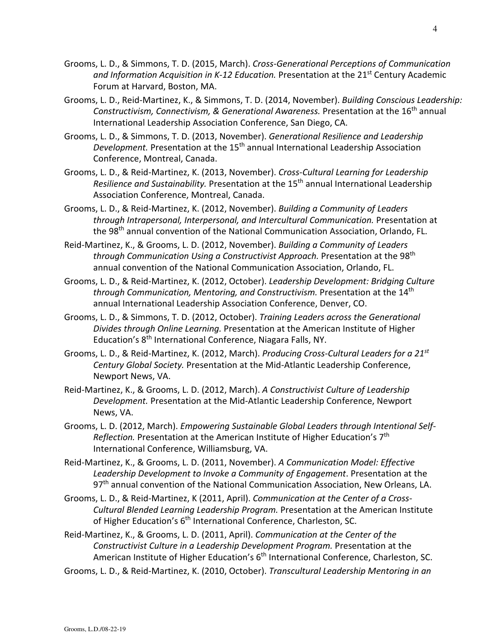- Grooms, L. D., & Simmons, T. D. (2015, March). *Cross-Generational Perceptions of Communication*  and Information Acquisition in K-12 Education. Presentation at the 21<sup>st</sup> Century Academic Forum at Harvard, Boston, MA.
- Grooms, L. D., Reid-Martinez, K., & Simmons, T. D. (2014, November). *Building Conscious Leadership: Constructivism, Connectivism, & Generational Awareness.* Presentation at the 16th annual International Leadership Association Conference, San Diego, CA.
- Grooms, L. D., & Simmons, T. D. (2013, November). *Generational Resilience and Leadership Development.* Presentation at the 15th annual International Leadership Association Conference, Montreal, Canada.
- Grooms, L. D., & Reid-Martinez, K. (2013, November). *Cross-Cultural Learning for Leadership Resilience and Sustainability.* Presentation at the 15th annual International Leadership Association Conference, Montreal, Canada.
- Grooms, L. D., & Reid-Martinez, K. (2012, November). *Building a Community of Leaders through Intrapersonal, Interpersonal, and Intercultural Communication.* Presentation at the 98<sup>th</sup> annual convention of the National Communication Association, Orlando, FL.
- Reid-Martinez, K., & Grooms, L. D. (2012, November). *Building a Community of Leaders through Communication Using a Constructivist Approach.* Presentation at the 98<sup>th</sup> annual convention of the National Communication Association, Orlando, FL.
- Grooms, L. D., & Reid-Martinez, K. (2012, October). *Leadership Development: Bridging Culture through Communication, Mentoring, and Constructivism.* Presentation at the 14th annual International Leadership Association Conference, Denver, CO.
- Grooms, L. D., & Simmons, T. D. (2012, October). *Training Leaders across the Generational Divides through Online Learning.* Presentation at the American Institute of Higher Education's 8<sup>th</sup> International Conference, Niagara Falls, NY.
- Grooms, L. D., & Reid-Martinez, K. (2012, March). *Producing Cross-Cultural Leaders for a 21 st Century Global Society.* Presentation at the Mid-Atlantic Leadership Conference, Newport News, VA.
- Reid-Martinez, K., & Grooms, L. D. (2012, March). *A Constructivist Culture of Leadership Development.* Presentation at the Mid-Atlantic Leadership Conference, Newport News, VA.
- Grooms, L. D. (2012, March). *Empowering Sustainable Global Leaders through Intentional Self-Reflection.* Presentation at the American Institute of Higher Education's 7th International Conference, Williamsburg, VA.
- Reid-Martinez, K., & Grooms, L. D. (2011, November). *A Communication Model: Effective Leadership Development to Invoke a Community of Engagement*. Presentation at the 97<sup>th</sup> annual convention of the National Communication Association, New Orleans, LA.
- Grooms, L. D., & Reid-Martinez, K (2011, April). *Communication at the Center of a Cross-Cultural Blended Learning Leadership Program.* Presentation at the American Institute of Higher Education's 6<sup>th</sup> International Conference, Charleston, SC.
- Reid-Martinez, K., & Grooms, L. D. (2011, April). *Communication at the Center of the Constructivist Culture in a Leadership Development Program.* Presentation at the American Institute of Higher Education's 6<sup>th</sup> International Conference, Charleston, SC.
- Grooms, L. D., & Reid-Martinez, K. (2010, October). *Transcultural Leadership Mentoring in an*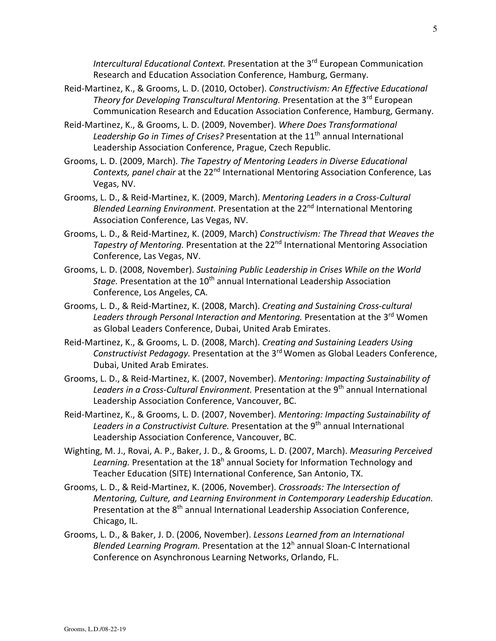*Intercultural Educational Context.* Presentation at the 3rd European Communication Research and Education Association Conference, Hamburg, Germany.

- Reid-Martinez, K., & Grooms, L. D. (2010, October). *Constructivism: An Effective Educational Theory for Developing Transcultural Mentoring.* Presentation at the 3<sup>rd</sup> European Communication Research and Education Association Conference, Hamburg, Germany.
- Reid-Martinez, K., & Grooms, L. D. (2009, November). *Where Does Transformational*  Leadership Go in Times of Crises? Presentation at the 11<sup>th</sup> annual International Leadership Association Conference, Prague, Czech Republic.
- Grooms, L. D. (2009, March). *The Tapestry of Mentoring Leaders in Diverse Educational Contexts, panel chair* at the 22<sup>nd</sup> International Mentoring Association Conference, Las Vegas, NV.
- Grooms, L. D., & Reid-Martinez, K. (2009, March). *Mentoring Leaders in a Cross-Cultural Blended Learning Environment.* Presentation at the 22<sup>nd</sup> International Mentoring Association Conference, Las Vegas, NV.
- Grooms, L. D., & Reid-Martinez, K. (2009, March) *Constructivism: The Thread that Weaves the Tapestry of Mentoring.* Presentation at the 22<sup>nd</sup> International Mentoring Association Conference, Las Vegas, NV.
- Grooms, L. D. (2008, November). *Sustaining Public Leadership in Crises While on the World Stage.* Presentation at the 10<sup>th</sup> annual International Leadership Association Conference, Los Angeles, CA.
- Grooms, L. D., & Reid-Martinez, K. (2008, March). *Creating and Sustaining Cross-cultural Leaders through Personal Interaction and Mentoring.* Presentation at the 3rd Women as Global Leaders Conference, Dubai, United Arab Emirates.
- Reid-Martinez, K., & Grooms, L. D. (2008, March). *Creating and Sustaining Leaders Using*  Constructivist Pedagogy. Presentation at the 3<sup>rd</sup> Women as Global Leaders Conference, Dubai, United Arab Emirates.
- Grooms, L. D., & Reid-Martinez, K. (2007, November). *Mentoring: Impacting Sustainability of*  Leaders in a Cross-Cultural Environment. Presentation at the 9<sup>th</sup> annual International Leadership Association Conference, Vancouver, BC.
- Reid-Martinez, K., & Grooms, L. D. (2007, November). *Mentoring: Impacting Sustainability of*  Leaders in a Constructivist Culture. Presentation at the 9<sup>th</sup> annual International Leadership Association Conference, Vancouver, BC.
- Wighting, M. J., Rovai, A. P., Baker, J. D., & Grooms, L. D. (2007, March). *Measuring Perceived*  Learning. Presentation at the 18<sup>h</sup> annual Society for Information Technology and Teacher Education (SITE) International Conference, San Antonio, TX.
- Grooms, L. D., & Reid-Martinez, K. (2006, November). *Crossroads: The Intersection of Mentoring, Culture, and Learning Environment in Contemporary Leadership Education.* Presentation at the 8<sup>th</sup> annual International Leadership Association Conference, Chicago, IL.
- Grooms, L. D., & Baker, J. D. (2006, November). *Lessons Learned from an International*  Blended Learning Program. Presentation at the 12<sup>h</sup> annual Sloan-C International Conference on Asynchronous Learning Networks, Orlando, FL.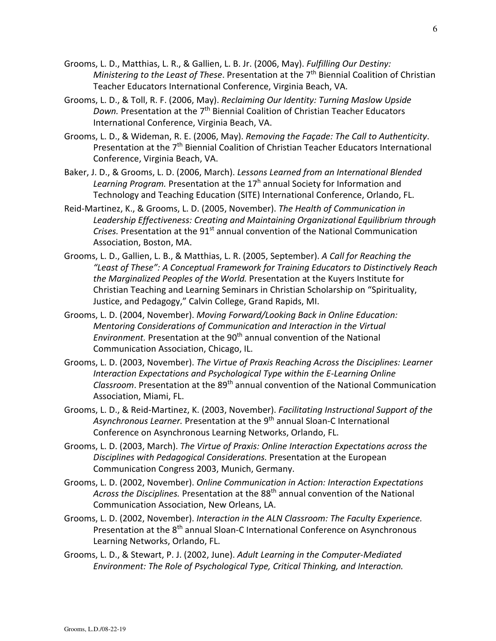- Grooms, L. D., Matthias, L. R., & Gallien, L. B. Jr. (2006, May). *Fulfilling Our Destiny:*  Ministering to the Least of These. Presentation at the 7<sup>th</sup> Biennial Coalition of Christian Teacher Educators International Conference, Virginia Beach, VA.
- Grooms, L. D., & Toll, R. F. (2006, May). *Reclaiming Our Identity: Turning Maslow Upside Down.* Presentation at the 7<sup>th</sup> Biennial Coalition of Christian Teacher Educators International Conference, Virginia Beach, VA.
- Grooms, L. D., & Wideman, R. E. (2006, May). *Removing the Façade: The Call to Authenticity*. Presentation at the 7<sup>th</sup> Biennial Coalition of Christian Teacher Educators International Conference, Virginia Beach, VA.
- Baker, J. D., & Grooms, L. D. (2006, March). *Lessons Learned from an International Blended*  Learning Program. Presentation at the 17<sup>h</sup> annual Society for Information and Technology and Teaching Education (SITE) International Conference, Orlando, FL.
- Reid-Martinez, K., & Grooms, L. D. (2005, November). *The Health of Communication in Leadership Effectiveness: Creating and Maintaining Organizational Equilibrium through Crises*. Presentation at the 91<sup>st</sup> annual convention of the National Communication Association, Boston, MA.
- Grooms, L. D., Gallien, L. B., & Matthias, L. R. (2005, September). *A Call for Reaching the "Least of These": A Conceptual Framework for Training Educators to Distinctively Reach the Marginalized Peoples of the World.* Presentation at the Kuyers Institute for Christian Teaching and Learning Seminars in Christian Scholarship on "Spirituality, Justice, and Pedagogy," Calvin College, Grand Rapids, MI.
- Grooms, L. D. (2004, November). *Moving Forward/Looking Back in Online Education: Mentoring Considerations of Communication and Interaction in the Virtual Environment.* Presentation at the 90<sup>th</sup> annual convention of the National Communication Association, Chicago, IL.
- Grooms, L. D. (2003, November). *The Virtue of Praxis Reaching Across the Disciplines: Learner Interaction Expectations and Psychological Type within the E-Learning Online Classroom*. Presentation at the 89th annual convention of the National Communication Association, Miami, FL.
- Grooms, L. D., & Reid-Martinez, K. (2003, November). *Facilitating Instructional Support of the*  Asynchronous Learner. Presentation at the 9<sup>th</sup> annual Sloan-C International Conference on Asynchronous Learning Networks, Orlando, FL.
- Grooms, L. D. (2003, March). *The Virtue of Praxis: Online Interaction Expectations across the Disciplines with Pedagogical Considerations.* Presentation at the European Communication Congress 2003, Munich, Germany.
- Grooms, L. D. (2002, November). *Online Communication in Action: Interaction Expectations Across the Disciplines.* Presentation at the 88th annual convention of the National Communication Association, New Orleans, LA.
- Grooms, L. D. (2002, November). *Interaction in the ALN Classroom: The Faculty Experience.* Presentation at the 8<sup>th</sup> annual Sloan-C International Conference on Asynchronous Learning Networks, Orlando, FL.
- Grooms, L. D., & Stewart, P. J. (2002, June). *Adult Learning in the Computer-Mediated Environment: The Role of Psychological Type, Critical Thinking, and Interaction.*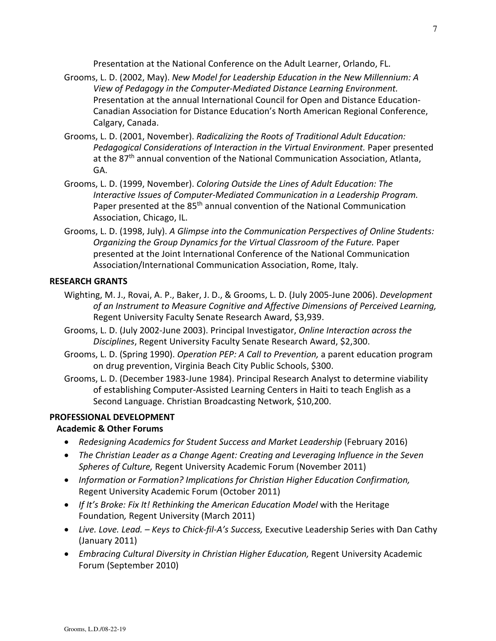Presentation at the National Conference on the Adult Learner, Orlando, FL.

- Grooms, L. D. (2002, May). *New Model for Leadership Education in the New Millennium: A View of Pedagogy in the Computer-Mediated Distance Learning Environment.* Presentation at the annual International Council for Open and Distance Education-Canadian Association for Distance Education's North American Regional Conference, Calgary, Canada.
- Grooms, L. D. (2001, November). *Radicalizing the Roots of Traditional Adult Education: Pedagogical Considerations of Interaction in the Virtual Environment.* Paper presented at the  $87<sup>th</sup>$  annual convention of the National Communication Association, Atlanta, GA.
- Grooms, L. D. (1999, November). *Coloring Outside the Lines of Adult Education: The Interactive Issues of Computer-Mediated Communication in a Leadership Program.* Paper presented at the 85<sup>th</sup> annual convention of the National Communication Association, Chicago, IL.
- Grooms, L. D. (1998, July). *A Glimpse into the Communication Perspectives of Online Students: Organizing the Group Dynamics for the Virtual Classroom of the Future.* Paper presented at the Joint International Conference of the National Communication Association/International Communication Association, Rome, Italy.

### **RESEARCH GRANTS**

- Wighting, M. J., Rovai, A. P., Baker, J. D., & Grooms, L. D. (July 2005-June 2006). *Development of an Instrument to Measure Cognitive and Affective Dimensions of Perceived Learning,* Regent University Faculty Senate Research Award, \$3,939.
- Grooms, L. D. (July 2002-June 2003). Principal Investigator, *Online Interaction across the Disciplines*, Regent University Faculty Senate Research Award, \$2,300.
- Grooms, L. D. (Spring 1990). *Operation PEP: A Call to Prevention,* a parent education program on drug prevention, Virginia Beach City Public Schools, \$300.
- Grooms, L. D. (December 1983-June 1984). Principal Research Analyst to determine viability of establishing Computer-Assisted Learning Centers in Haiti to teach English as a Second Language. Christian Broadcasting Network, \$10,200.

### **PROFESSIONAL DEVELOPMENT**

### **Academic & Other Forums**

- *Redesigning Academics for Student Success and Market Leadership* (February 2016)
- *The Christian Leader as a Change Agent: Creating and Leveraging Influence in the Seven Spheres of Culture,* Regent University Academic Forum (November 2011)
- *Information or Formation? Implications for Christian Higher Education Confirmation,* Regent University Academic Forum (October 2011)
- *If It's Broke: Fix It! Rethinking the American Education Model* with the Heritage Foundation*,* Regent University (March 2011)
- *Live. Love. Lead. Keys to Chick-fil-A's Success,* Executive Leadership Series with Dan Cathy (January 2011)
- *Embracing Cultural Diversity in Christian Higher Education,* Regent University Academic Forum (September 2010)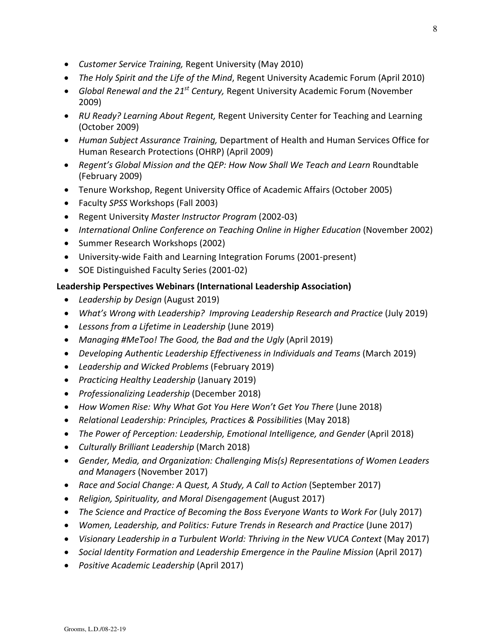- *Customer Service Training,* Regent University (May 2010)
- *The Holy Spirit and the Life of the Mind*, Regent University Academic Forum (April 2010)
- *Global Renewal and the 21st Century,* Regent University Academic Forum (November 2009)
- *RU Ready? Learning About Regent,* Regent University Center for Teaching and Learning (October 2009)
- *Human Subject Assurance Training,* Department of Health and Human Services Office for Human Research Protections (OHRP) (April 2009)
- Regent's Global Mission and the QEP: How Now Shall We Teach and Learn Roundtable (February 2009)
- Tenure Workshop, Regent University Office of Academic Affairs (October 2005)
- Faculty *SPSS* Workshops (Fall 2003)
- Regent University *Master Instructor Program* (2002-03)
- *International Online Conference on Teaching Online in Higher Education* (November 2002)
- Summer Research Workshops (2002)
- University-wide Faith and Learning Integration Forums (2001-present)
- SOE Distinguished Faculty Series (2001-02)

# **Leadership Perspectives Webinars (International Leadership Association)**

- *Leadership by Design* (August 2019)
- *What's Wrong with Leadership? Improving Leadership Research and Practice (July 2019)*
- *Lessons from a Lifetime in Leadership* (June 2019)
- *Managing #MeToo! The Good, the Bad and the Ugly* (April 2019)
- *Developing Authentic Leadership Effectiveness in Individuals and Teams* (March 2019)
- *Leadership and Wicked Problems* (February 2019)
- *Practicing Healthy Leadership* (January 2019)
- *Professionalizing Leadership* (December 2018)
- How Women Rise: Why What Got You Here Won't Get You There (June 2018)
- *Relational Leadership: Principles, Practices & Possibilities* (May 2018)
- *The Power of Perception: Leadership, Emotional Intelligence, and Gender* (April 2018)
- *Culturally Brilliant Leadership* (March 2018)
- *Gender, Media, and Organization: Challenging Mis(s) Representations of Women Leaders and Managers* (November 2017)
- *Race and Social Change: A Quest, A Study, A Call to Action* (September 2017)
- *Religion, Spirituality, and Moral Disengagement* (August 2017)
- *The Science and Practice of Becoming the Boss Everyone Wants to Work For* (July 2017)
- *Women, Leadership, and Politics: Future Trends in Research and Practice* (June 2017)
- *Visionary Leadership in a Turbulent World: Thriving in the New VUCA Context* (May 2017)
- *Social Identity Formation and Leadership Emergence in the Pauline Mission* (April 2017)
- *Positive Academic Leadership* (April 2017)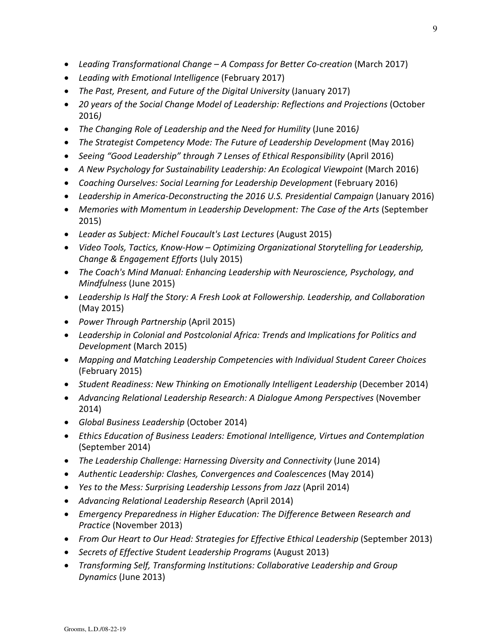- *Leading Transformational Change A Compass for Better Co-creation* (March 2017)
- *Leading with Emotional Intelligence* (February 2017)
- *The Past, Present, and Future of the Digital University (January 2017)*
- *20 years of the Social Change Model of Leadership: Reflections and Projections* (October 2016*)*
- *The Changing Role of Leadership and the Need for Humility* (June 2016*)*
- *The Strategist Competency Mode: The Future of Leadership Development* (May 2016)
- Seeing "Good Leadership" through 7 Lenses of Ethical Responsibility (April 2016)
- A New Psychology for Sustainability Leadership: An Ecological Viewpoint (March 2016)
- Coaching Ourselves: Social Learning for Leadership Development (February 2016)
- *Leadership in America-Deconstructing the 2016 U.S. Presidential Campaign* (January 2016)
- Memories with Momentum in Leadership Development: The Case of the Arts (September 2015)
- *Leader as Subject: Michel Foucault's Last Lectures* (August 2015)
- *Video Tools, Tactics, Know-How Optimizing Organizational Storytelling for Leadership, Change & Engagement Efforts* (July 2015)
- *The Coach's Mind Manual: Enhancing Leadership with Neuroscience, Psychology, and Mindfulness* (June 2015)
- *Leadership Is Half the Story: A Fresh Look at Followership. Leadership, and Collaboration* (May 2015)
- *Power Through Partnership* (April 2015)
- *Leadership in Colonial and Postcolonial Africa: Trends and Implications for Politics and Development* (March 2015)
- *Mapping and Matching Leadership Competencies with Individual Student Career Choices*  (February 2015)
- *Student Readiness: New Thinking on Emotionally Intelligent Leadership* (December 2014)
- *Advancing Relational Leadership Research: A Dialogue Among Perspectives* (November 2014)
- *Global Business Leadership* (October 2014)
- *Ethics Education of Business Leaders: Emotional Intelligence, Virtues and Contemplation*  (September 2014)
- *The Leadership Challenge: Harnessing Diversity and Connectivity* (June 2014)
- *Authentic Leadership: Clashes, Convergences and Coalescences* (May 2014)
- *Yes to the Mess: Surprising Leadership Lessons from Jazz* (April 2014)
- *Advancing Relational Leadership Research* (April 2014)
- *Emergency Preparedness in Higher Education: The Difference Between Research and Practice* (November 2013)
- *From Our Heart to Our Head: Strategies for Effective Ethical Leadership* (September 2013)
- *Secrets of Effective Student Leadership Programs* (August 2013)
- *Transforming Self, Transforming Institutions: Collaborative Leadership and Group Dynamics* (June 2013)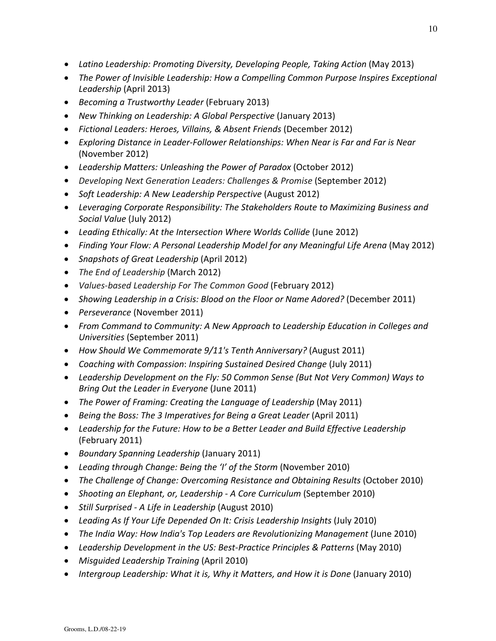- *Latino Leadership: Promoting Diversity, Developing People, Taking Action* (May 2013)
- *The Power of Invisible Leadership: How a Compelling Common Purpose Inspires Exceptional Leadership* (April 2013)
- *Becoming a Trustworthy Leader* (February 2013)
- *New Thinking on Leadership: A Global Perspective* (January 2013)
- *Fictional Leaders: Heroes, Villains, & Absent Friends* (December 2012)
- *Exploring Distance in Leader-Follower Relationships: When Near is Far and Far is Near* (November 2012)
- *Leadership Matters: Unleashing the Power of Paradox* (October 2012)
- *Developing Next Generation Leaders: Challenges & Promise* (September 2012)
- *Soft Leadership: A New Leadership Perspective* (August 2012)
- *Leveraging Corporate Responsibility: The Stakeholders Route to Maximizing Business and Social Value* (July 2012)
- *Leading Ethically: At the Intersection Where Worlds Collide* (June 2012)
- *Finding Your Flow: A Personal Leadership Model for any Meaningful Life Arena* (May 2012)
- *Snapshots of Great Leadership* (April 2012)
- *The End of Leadership* (March 2012)
- *Values-based Leadership For The Common Good* (February 2012)
- *Showing Leadership in a Crisis: Blood on the Floor or Name Adored?* (December 2011)
- *Perseverance* (November 2011)
- *From Command to Community: A New Approach to Leadership Education in Colleges and Universities* (September 2011)
- *How Should We Commemorate 9/11's Tenth Anniversary?* (August 2011)
- *Coaching with Compassion*: *Inspiring Sustained Desired Change* (July 2011)
- *Leadership Development on the Fly: 50 Common Sense (But Not Very Common) Ways to Bring Out the Leader in Everyone* (June 2011)
- *The Power of Framing: Creating the Language of Leadership* (May 2011)
- *Being the Boss: The 3 Imperatives for Being a Great Leader* (April 2011)
- *Leadership for the Future: How to be a Better Leader and Build Effective Leadership* (February 2011)
- *Boundary Spanning Leadership* (January 2011)
- *Leading through Change: Being the 'I' of the Storm* (November 2010)
- *The Challenge of Change: Overcoming Resistance and Obtaining Results* (October 2010)
- *Shooting an Elephant, or, Leadership A Core Curriculum* (September 2010)
- *Still Surprised A Life in Leadership* (August 2010)
- *Leading As If Your Life Depended On It: Crisis Leadership Insights* (July 2010)
- *The India Way: How India's Top Leaders are Revolutionizing Management* (June 2010)
- *Leadership Development in the US: Best-Practice Principles & Patterns* (May 2010)
- *Misguided Leadership Training* (April 2010)
- *Intergroup Leadership: What it is, Why it Matters, and How it is Done* (January 2010)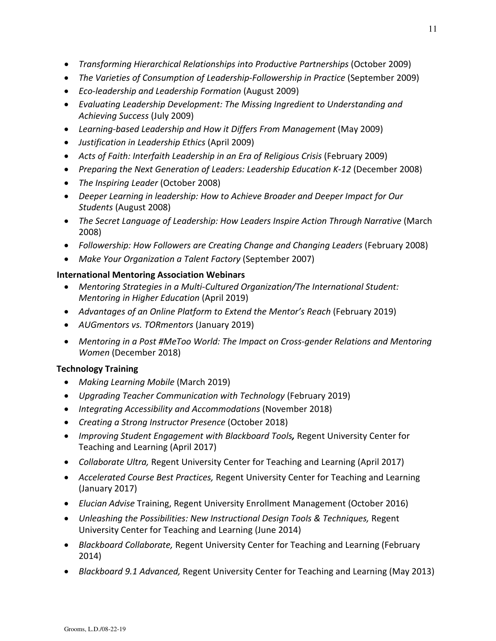- *Transforming Hierarchical Relationships into Productive Partnerships* (October 2009)
- *The Varieties of Consumption of Leadership-Followership in Practice* (September 2009)
- *Eco-leadership and Leadership Formation* (August 2009)
- *Evaluating Leadership Development: The Missing Ingredient to Understanding and Achieving Success* (July 2009)
- *Learning-based Leadership and How it Differs From Management* (May 2009)
- *Justification in Leadership Ethics* (April 2009)
- *Acts of Faith: Interfaith Leadership in an Era of Religious Crisis* (February 2009)
- *Preparing the Next Generation of Leaders: Leadership Education K-12* (December 2008)
- *The Inspiring Leader* (October 2008)
- *Deeper Learning in leadership: How to Achieve Broader and Deeper Impact for Our Students* (August 2008)
- *The Secret Language of Leadership: How Leaders Inspire Action Through Narrative* (March 2008)
- *Followership: How Followers are Creating Change and Changing Leaders* (February 2008)
- *Make Your Organization a Talent Factory* (September 2007)

# **International Mentoring Association Webinars**

- *Mentoring Strategies in a Multi-Cultured Organization/The International Student: Mentoring in Higher Education* (April 2019)
- *Advantages of an Online Platform to Extend the Mentor's Reach* (February 2019)
- *AUGmentors vs. TORmentors* (January 2019)
- *Mentoring in a Post #MeToo World: The Impact on Cross-gender Relations and Mentoring Women* (December 2018)

# **Technology Training**

- *Making Learning Mobile* (March 2019)
- *Upgrading Teacher Communication with Technology* (February 2019)
- *Integrating Accessibility and Accommodations* (November 2018)
- *Creating a Strong Instructor Presence* (October 2018)
- *Improving Student Engagement with Blackboard Tools,* Regent University Center for Teaching and Learning (April 2017)
- *Collaborate Ultra,* Regent University Center for Teaching and Learning (April 2017)
- *Accelerated Course Best Practices,* Regent University Center for Teaching and Learning (January 2017)
- *Elucian Advise* Training, Regent University Enrollment Management (October 2016)
- *Unleashing the Possibilities: New Instructional Design Tools & Techniques,* Regent University Center for Teaching and Learning (June 2014)
- *Blackboard Collaborate,* Regent University Center for Teaching and Learning (February 2014)
- *Blackboard 9.1 Advanced,* Regent University Center for Teaching and Learning (May 2013)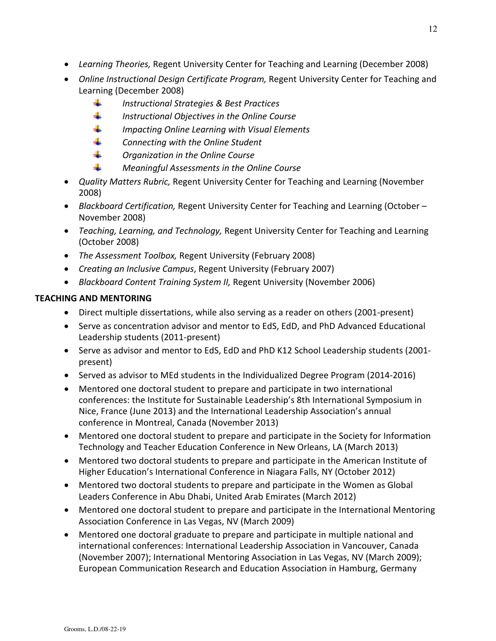- *Learning Theories,* Regent University Center for Teaching and Learning (December 2008)
- *Online Instructional Design Certificate Program,* Regent University Center for Teaching and Learning (December 2008)
	- and in *Instructional Strategies & Best Practices*
	- di p *Instructional Objectives in the Online Course*
	- 4 *Impacting Online Learning with Visual Elements*
	- a. *Connecting with the Online Student*
	- a pro *Organization in the Online Course*
	- d. *Meaningful Assessments in the Online Course*
- *Quality Matters Rubric,* Regent University Center for Teaching and Learning (November 2008)
- *Blackboard Certification,* Regent University Center for Teaching and Learning (October November 2008)
- *Teaching, Learning, and Technology,* Regent University Center for Teaching and Learning (October 2008)
- *The Assessment Toolbox,* Regent University (February 2008)
- *Creating an Inclusive Campus*, Regent University (February 2007)
- *Blackboard Content Training System II,* Regent University (November 2006)

# **TEACHING AND MENTORING**

- Direct multiple dissertations, while also serving as a reader on others (2001-present)
- Serve as concentration advisor and mentor to EdS, EdD, and PhD Advanced Educational Leadership students (2011-present)
- Serve as advisor and mentor to EdS, EdD and PhD K12 School Leadership students (2001 present)
- Served as advisor to MEd students in the Individualized Degree Program (2014-2016)
- Mentored one doctoral student to prepare and participate in two international conferences: the Institute for Sustainable Leadership's 8th International Symposium in Nice, France (June 2013) and the International Leadership Association's annual conference in Montreal, Canada (November 2013)
- Mentored one doctoral student to prepare and participate in the Society for Information Technology and Teacher Education Conference in New Orleans, LA (March 2013)
- Mentored two doctoral students to prepare and participate in the American Institute of Higher Education's International Conference in Niagara Falls, NY (October 2012)
- Mentored two doctoral students to prepare and participate in the Women as Global Leaders Conference in Abu Dhabi, United Arab Emirates (March 2012)
- Mentored one doctoral student to prepare and participate in the International Mentoring Association Conference in Las Vegas, NV (March 2009)
- Mentored one doctoral graduate to prepare and participate in multiple national and international conferences: International Leadership Association in Vancouver, Canada (November 2007); International Mentoring Association in Las Vegas, NV (March 2009); European Communication Research and Education Association in Hamburg, Germany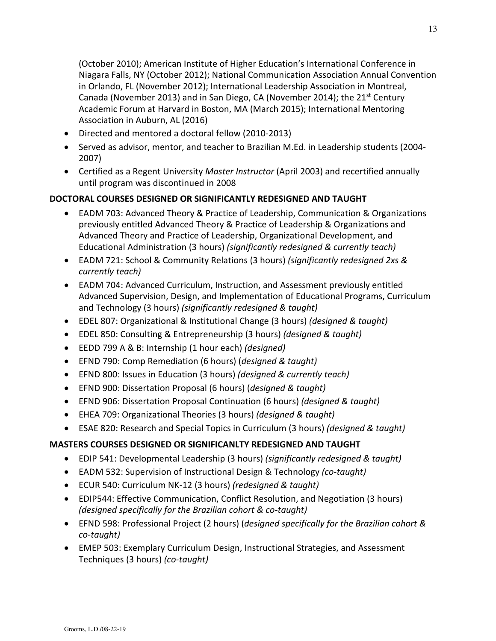(October 2010); American Institute of Higher Education's International Conference in Niagara Falls, NY (October 2012); National Communication Association Annual Convention in Orlando, FL (November 2012); International Leadership Association in Montreal, Canada (November 2013) and in San Diego, CA (November 2014); the 21st Century Academic Forum at Harvard in Boston, MA (March 2015); International Mentoring Association in Auburn, AL (2016)

- Directed and mentored a doctoral fellow (2010-2013)
- Served as advisor, mentor, and teacher to Brazilian M.Ed. in Leadership students (2004- 2007)
- Certified as a Regent University *Master Instructor* (April 2003) and recertified annually until program was discontinued in 2008

# **DOCTORAL COURSES DESIGNED OR SIGNIFICANTLY REDESIGNED AND TAUGHT**

- EADM 703: Advanced Theory & Practice of Leadership, Communication & Organizations previously entitled Advanced Theory & Practice of Leadership & Organizations and Advanced Theory and Practice of Leadership, Organizational Development, and Educational Administration (3 hours) *(significantly redesigned & currently teach)*
- EADM 721: School & Community Relations (3 hours) *(significantly redesigned 2xs & currently teach)*
- EADM 704: Advanced Curriculum, Instruction, and Assessment previously entitled Advanced Supervision, Design, and Implementation of Educational Programs, Curriculum and Technology (3 hours) *(significantly redesigned & taught)*
- EDEL 807: Organizational & Institutional Change (3 hours) *(designed & taught)*
- EDEL 850: Consulting & Entrepreneurship (3 hours) *(designed & taught)*
- EEDD 799 A & B: Internship (1 hour each) *(designed)*
- EFND 790: Comp Remediation (6 hours) (*designed & taught)*
- EFND 800: Issues in Education (3 hours) *(designed & currently teach)*
- EFND 900: Dissertation Proposal (6 hours) (*designed & taught)*
- EFND 906: Dissertation Proposal Continuation (6 hours) *(designed & taught)*
- EHEA 709: Organizational Theories (3 hours) *(designed & taught)*
- ESAE 820: Research and Special Topics in Curriculum (3 hours) *(designed & taught)*

# **MASTERS COURSES DESIGNED OR SIGNIFICANLTY REDESIGNED AND TAUGHT**

- EDIP 541: Developmental Leadership (3 hours) *(significantly redesigned & taught)*
- EADM 532: Supervision of Instructional Design & Technology *(co-taught)*
- ECUR 540: Curriculum NK-12 (3 hours) *(redesigned & taught)*
- EDIP544: Effective Communication, Conflict Resolution, and Negotiation (3 hours) *(designed specifically for the Brazilian cohort & co-taught)*
- EFND 598: Professional Project (2 hours) (*designed specifically for the Brazilian cohort & co-taught)*
- EMEP 503: Exemplary Curriculum Design, Instructional Strategies, and Assessment Techniques (3 hours) *(co-taught)*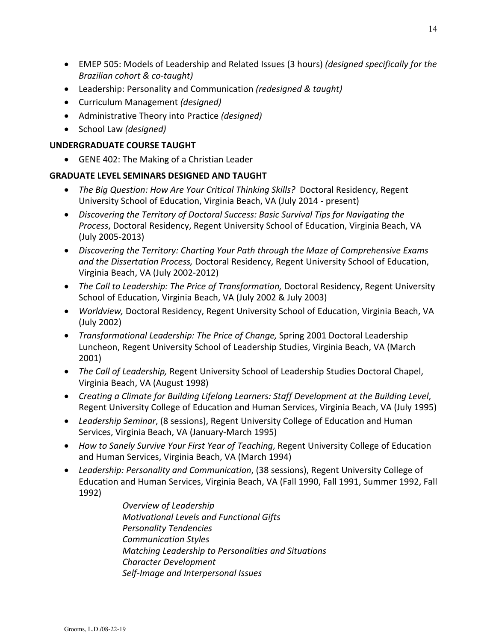- EMEP 505: Models of Leadership and Related Issues (3 hours) *(designed specifically for the Brazilian cohort & co-taught)*
- Leadership: Personality and Communication *(redesigned & taught)*
- Curriculum Management *(designed)*
- Administrative Theory into Practice *(designed)*
- School Law *(designed)*

## **UNDERGRADUATE COURSE TAUGHT**

• GENE 402: The Making of a Christian Leader

# **GRADUATE LEVEL SEMINARS DESIGNED AND TAUGHT**

- *The Big Question: How Are Your Critical Thinking Skills?* Doctoral Residency, Regent University School of Education, Virginia Beach, VA (July 2014 - present)
- *Discovering the Territory of Doctoral Success: Basic Survival Tips for Navigating the Process*, Doctoral Residency, Regent University School of Education, Virginia Beach, VA (July 2005-2013)
- *Discovering the Territory: Charting Your Path through the Maze of Comprehensive Exams and the Dissertation Process,* Doctoral Residency, Regent University School of Education, Virginia Beach, VA (July 2002-2012)
- *The Call to Leadership: The Price of Transformation,* Doctoral Residency, Regent University School of Education, Virginia Beach, VA (July 2002 & July 2003)
- *Worldview,* Doctoral Residency, Regent University School of Education, Virginia Beach, VA (July 2002)
- *Transformational Leadership: The Price of Change,* Spring 2001 Doctoral Leadership Luncheon, Regent University School of Leadership Studies, Virginia Beach, VA (March 2001)
- *The Call of Leadership,* Regent University School of Leadership Studies Doctoral Chapel, Virginia Beach, VA (August 1998)
- *Creating a Climate for Building Lifelong Learners: Staff Development at the Building Level*, Regent University College of Education and Human Services, Virginia Beach, VA (July 1995)
- *Leadership Seminar*, (8 sessions), Regent University College of Education and Human Services, Virginia Beach, VA (January-March 1995)
- *How to Sanely Survive Your First Year of Teaching*, Regent University College of Education and Human Services, Virginia Beach, VA (March 1994)
- *Leadership: Personality and Communication*, (38 sessions), Regent University College of Education and Human Services, Virginia Beach, VA (Fall 1990, Fall 1991, Summer 1992, Fall 1992)

 *Overview of Leadership Motivational Levels and Functional Gifts Personality Tendencies Communication Styles Matching Leadership to Personalities and Situations Character Development Self-Image and Interpersonal Issues*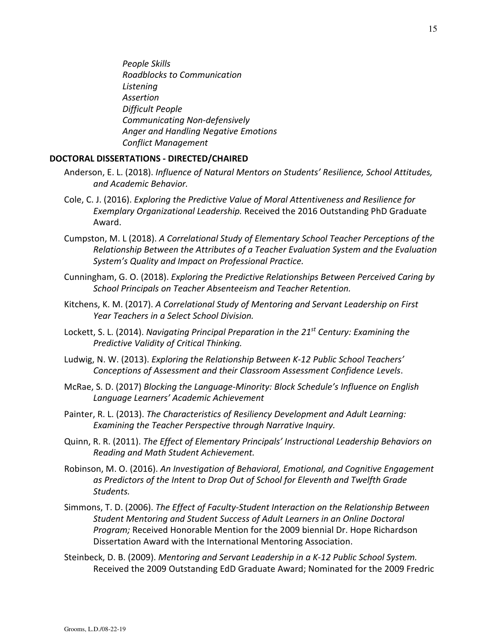*People Skills Roadblocks to Communication Listening Assertion Difficult People Communicating Non-defensively Anger and Handling Negative Emotions Conflict Management*

#### **DOCTORAL DISSERTATIONS - DIRECTED/CHAIRED**

- Anderson, E. L. (2018). *Influence of Natural Mentors on Students' Resilience, School Attitudes, and Academic Behavior.*
- Cole, C. J. (2016). *Exploring the Predictive Value of Moral Attentiveness and Resilience for Exemplary Organizational Leadership.* Received the 2016 Outstanding PhD Graduate Award.
- Cumpston, M. L (2018). *A Correlational Study of Elementary School Teacher Perceptions of the Relationship Between the Attributes of a Teacher Evaluation System and the Evaluation System's Quality and Impact on Professional Practice.*
- Cunningham, G. O. (2018). *Exploring the Predictive Relationships Between Perceived Caring by School Principals on Teacher Absenteeism and Teacher Retention.*
- Kitchens, K. M. (2017). *A Correlational Study of Mentoring and Servant Leadership on First Year Teachers in a Select School Division.*
- Lockett, S. L. (2014). *Navigating Principal Preparation in the 21st Century: Examining the Predictive Validity of Critical Thinking.*
- Ludwig, N. W. (2013). *Exploring the Relationship Between K-12 Public School Teachers' Conceptions of Assessment and their Classroom Assessment Confidence Levels*.
- McRae, S. D. (2017) *Blocking the Language-Minority: Block Schedule's Influence on English Language Learners' Academic Achievement*
- Painter, R. L. (2013). *The Characteristics of Resiliency Development and Adult Learning: Examining the Teacher Perspective through Narrative Inquiry.*
- Quinn, R. R. (2011). *The Effect of Elementary Principals' Instructional Leadership Behaviors on Reading and Math Student Achievement.*
- Robinson, M. O. (2016). *An Investigation of Behavioral, Emotional, and Cognitive Engagement as Predictors of the Intent to Drop Out of School for Eleventh and Twelfth Grade Students.*
- Simmons, T. D. (2006). *The Effect of Faculty-Student Interaction on the Relationship Between Student Mentoring and Student Success of Adult Learners in an Online Doctoral Program;* Received Honorable Mention for the 2009 biennial Dr. Hope Richardson Dissertation Award with the International Mentoring Association.
- Steinbeck, D. B. (2009). *Mentoring and Servant Leadership in a K-12 Public School System.* Received the 2009 Outstanding EdD Graduate Award; Nominated for the 2009 Fredric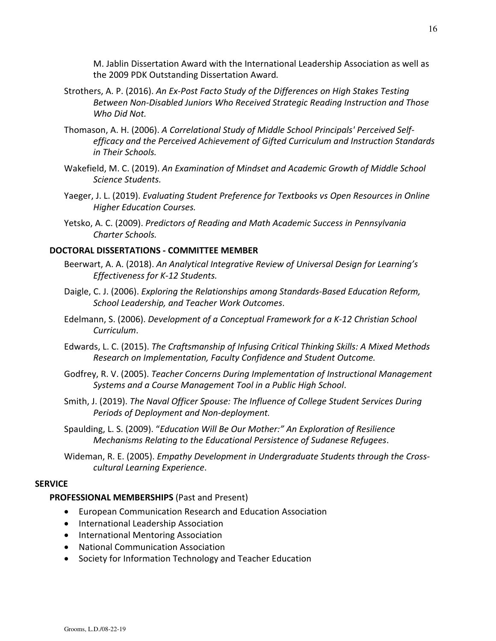M. Jablin Dissertation Award with the International Leadership Association as well as the 2009 PDK Outstanding Dissertation Award*.* 

- Strothers, A. P. (2016). *An Ex-Post Facto Study of the Differences on High Stakes Testing Between Non-Disabled Juniors Who Received Strategic Reading Instruction and Those Who Did Not.*
- Thomason, A. H. (2006). *A Correlational Study of Middle School Principals' Perceived Selfefficacy and the Perceived Achievement of Gifted Curriculum and Instruction Standards in Their Schools.*
- Wakefield, M. C. (2019). *An Examination of Mindset and Academic Growth of Middle School Science Students.*
- Yaeger, J. L. (2019). *Evaluating Student Preference for Textbooks vs Open Resources in Online Higher Education Courses.*
- Yetsko, A. C. (2009). *Predictors of Reading and Math Academic Success in Pennsylvania Charter Schools.*

### **DOCTORAL DISSERTATIONS - COMMITTEE MEMBER**

- Beerwart, A. A. (2018). *An Analytical Integrative Review of Universal Design for Learning's Effectiveness for K-12 Students.*
- Daigle, C. J. (2006). *Exploring the Relationships among Standards-Based Education Reform, School Leadership, and Teacher Work Outcomes*.
- Edelmann, S. (2006). *Development of a Conceptual Framework for a K-12 Christian School Curriculum*.
- Edwards, L. C. (2015). *The Craftsmanship of Infusing Critical Thinking Skills: A Mixed Methods Research on Implementation, Faculty Confidence and Student Outcome.*
- Godfrey, R. V. (2005). *[Teacher Concerns During Implementation of Instructional Management](http://wwwlib.umi.com.eres.regent.edu:2048/cr/regent/fullcit?p3165030)  [Systems and a Course Management Tool in a Public High School](http://wwwlib.umi.com.eres.regent.edu:2048/cr/regent/fullcit?p3165030)*.
- Smith, J. (2019). *The Naval Officer Spouse: The Influence of College Student Services During Periods of Deployment and Non-deployment.*
- Spaulding, L. S. (2009). "*Education Will Be Our Mother:" An Exploration of Resilience Mechanisms Relating to the Educational Persistence of Sudanese Refugees*.
- Wideman, R. E. (2005). *[Empathy Development in Undergraduate Students through the Cross](http://wwwlib.umi.com.eres.regent.edu:2048/cr/regent/fullcit?p3163482)[cultural Learning Experience](http://wwwlib.umi.com.eres.regent.edu:2048/cr/regent/fullcit?p3163482)*.

#### **SERVICE**

#### **PROFESSIONAL MEMBERSHIPS** (Past and Present)

- European Communication Research and Education Association
- International Leadership Association
- International Mentoring Association
- National Communication Association
- Society for Information Technology and Teacher Education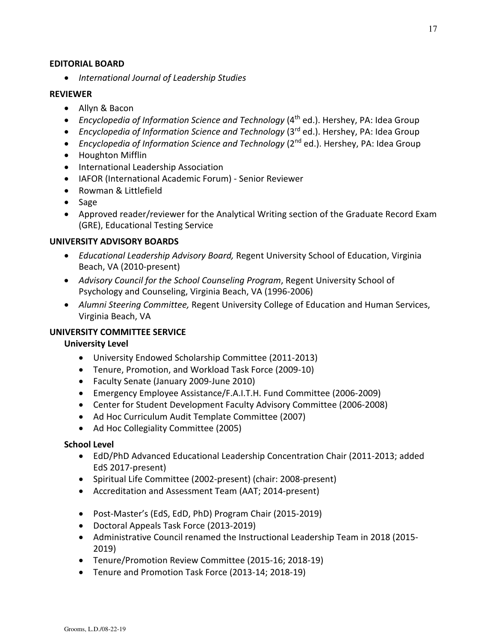### **EDITORIAL BOARD**

• *International Journal of Leadership Studies*

### **REVIEWER**

- Allyn & Bacon
- *Encyclopedia of Information Science and Technology* (4<sup>th</sup> ed.). Hershey, PA: Idea Group
- *Encyclopedia of Information Science and Technology* (3<sup>rd</sup> ed.). Hershey, PA: Idea Group
- *Encyclopedia of Information Science and Technology* (2<sup>nd</sup> ed.). Hershey, PA: Idea Group
- Houghton Mifflin
- International Leadership Association
- IAFOR (International Academic Forum) Senior Reviewer
- Rowman & Littlefield
- Sage
- Approved reader/reviewer for the Analytical Writing section of the Graduate Record Exam (GRE), Educational Testing Service

### **UNIVERSITY ADVISORY BOARDS**

- *Educational Leadership Advisory Board,* Regent University School of Education, Virginia Beach, VA (2010-present)
- *Advisory Council for the School Counseling Program*, Regent University School of Psychology and Counseling, Virginia Beach, VA (1996-2006)
- *Alumni Steering Committee,* Regent University College of Education and Human Services, Virginia Beach, VA

### **UNIVERSITY COMMITTEE SERVICE**

### **University Level**

- University Endowed Scholarship Committee (2011-2013)
- Tenure, Promotion, and Workload Task Force (2009-10)
- Faculty Senate (January 2009-June 2010)
- Emergency Employee Assistance/F.A.I.T.H. Fund Committee (2006-2009)
- Center for Student Development Faculty Advisory Committee (2006-2008)
- Ad Hoc Curriculum Audit Template Committee (2007)
- Ad Hoc Collegiality Committee (2005)

### **School Level**

- EdD/PhD Advanced Educational Leadership Concentration Chair (2011-2013; added EdS 2017-present)
- Spiritual Life Committee (2002-present) (chair: 2008-present)
- Accreditation and Assessment Team (AAT; 2014-present)
- Post-Master's (EdS, EdD, PhD) Program Chair (2015-2019)
- Doctoral Appeals Task Force (2013-2019)
- Administrative Council renamed the Instructional Leadership Team in 2018 (2015- 2019)
- Tenure/Promotion Review Committee (2015-16; 2018-19)
- Tenure and Promotion Task Force (2013-14; 2018-19)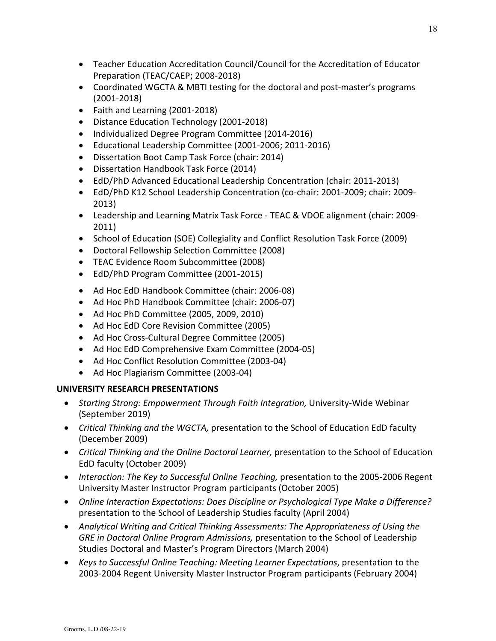- Teacher Education Accreditation Council/Council for the Accreditation of Educator Preparation (TEAC/CAEP; 2008-2018)
- Coordinated WGCTA & MBTI testing for the doctoral and post-master's programs (2001-2018)
- Faith and Learning (2001-2018)
- Distance Education Technology (2001-2018)
- Individualized Degree Program Committee (2014-2016)
- Educational Leadership Committee (2001-2006; 2011-2016)
- Dissertation Boot Camp Task Force (chair: 2014)
- Dissertation Handbook Task Force (2014)
- EdD/PhD Advanced Educational Leadership Concentration (chair: 2011-2013)
- EdD/PhD K12 School Leadership Concentration (co-chair: 2001-2009; chair: 2009- 2013)
- Leadership and Learning Matrix Task Force TEAC & VDOE alignment (chair: 2009- 2011)
- School of Education (SOE) Collegiality and Conflict Resolution Task Force (2009)
- Doctoral Fellowship Selection Committee (2008)
- TEAC Evidence Room Subcommittee (2008)
- EdD/PhD Program Committee (2001-2015)
- Ad Hoc EdD Handbook Committee (chair: 2006-08)
- Ad Hoc PhD Handbook Committee (chair: 2006-07)
- Ad Hoc PhD Committee (2005, 2009, 2010)
- Ad Hoc EdD Core Revision Committee (2005)
- Ad Hoc Cross-Cultural Degree Committee (2005)
- Ad Hoc EdD Comprehensive Exam Committee (2004-05)
- Ad Hoc Conflict Resolution Committee (2003-04)
- Ad Hoc Plagiarism Committee (2003-04)

# **UNIVERSITY RESEARCH PRESENTATIONS**

- *Starting Strong: Empowerment Through Faith Integration,* University-Wide Webinar (September 2019)
- *Critical Thinking and the WGCTA,* presentation to the School of Education EdD faculty (December 2009)
- *Critical Thinking and the Online Doctoral Learner,* presentation to the School of Education EdD faculty (October 2009)
- *Interaction: The Key to Successful Online Teaching,* presentation to the 2005-2006 Regent University Master Instructor Program participants (October 2005)
- *Online Interaction Expectations: Does Discipline or Psychological Type Make a Difference?*  presentation to the School of Leadership Studies faculty (April 2004)
- *Analytical Writing and Critical Thinking Assessments: The Appropriateness of Using the GRE in Doctoral Online Program Admissions,* presentation to the School of Leadership Studies Doctoral and Master's Program Directors (March 2004)
- *Keys to Successful Online Teaching: Meeting Learner Expectations*, presentation to the 2003-2004 Regent University Master Instructor Program participants (February 2004)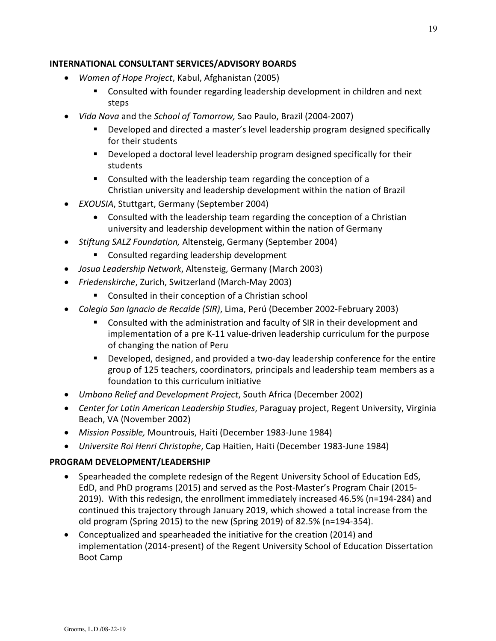### **INTERNATIONAL CONSULTANT SERVICES/ADVISORY BOARDS**

- *Women of Hope Project*, Kabul, Afghanistan (2005)
	- **Consulted with founder regarding leadership development in children and next** steps
- *Vida Nova* and the *School of Tomorrow,* Sao Paulo, Brazil (2004-2007)
	- Developed and directed a master's level leadership program designed specifically for their students
	- **Developed a doctoral level leadership program designed specifically for their** students
	- Consulted with the leadership team regarding the conception of a Christian university and leadership development within the nation of Brazil
- *EXOUSIA*, Stuttgart, Germany (September 2004)
	- Consulted with the leadership team regarding the conception of a Christian university and leadership development within the nation of Germany
- *Stiftung SALZ Foundation,* Altensteig, Germany (September 2004)
	- Consulted regarding leadership development
- *Josua Leadership Network*, Altensteig, Germany (March 2003)
- *Friedenskirche*, Zurich, Switzerland (March-May 2003)
	- Consulted in their conception of a Christian school
- *Colegio San Ignacio de Recalde (SIR)*, Lima, Perú (December 2002-February 2003)
	- Consulted with the administration and faculty of SIR in their development and implementation of a pre K-11 value-driven leadership curriculum for the purpose of changing the nation of Peru
	- Developed, designed, and provided a two-day leadership conference for the entire group of 125 teachers, coordinators, principals and leadership team members as a foundation to this curriculum initiative
- *Umbono Relief and Development Project*, South Africa (December 2002)
- *Center for Latin American Leadership Studies*, Paraguay project, Regent University, Virginia Beach, VA (November 2002)
- *Mission Possible,* Mountrouis, Haiti (December 1983-June 1984)
- *Universite Roi Henri Christophe*, Cap Haitien, Haiti (December 1983-June 1984)

# **PROGRAM DEVELOPMENT/LEADERSHIP**

- Spearheaded the complete redesign of the Regent University School of Education EdS, EdD, and PhD programs (2015) and served as the Post-Master's Program Chair (2015- 2019). With this redesign, the enrollment immediately increased 46.5% (n=194-284) and continued this trajectory through January 2019, which showed a total increase from the old program (Spring 2015) to the new (Spring 2019) of 82.5% (n=194-354).
- Conceptualized and spearheaded the initiative for the creation (2014) and implementation (2014-present) of the Regent University School of Education Dissertation Boot Camp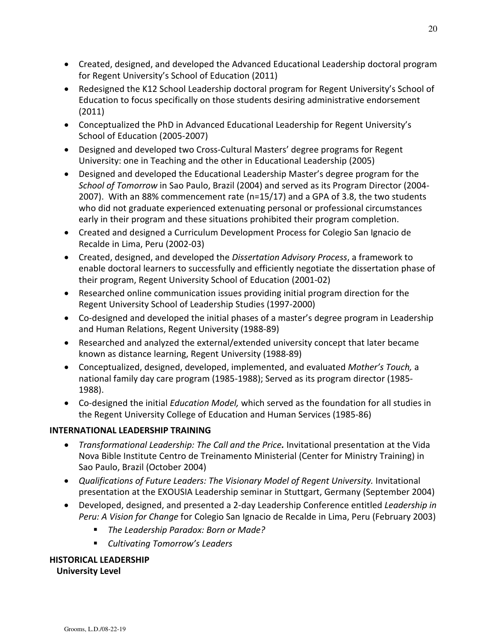- Created, designed, and developed the Advanced Educational Leadership doctoral program for Regent University's School of Education (2011)
- Redesigned the K12 School Leadership doctoral program for Regent University's School of Education to focus specifically on those students desiring administrative endorsement (2011)
- Conceptualized the PhD in Advanced Educational Leadership for Regent University's School of Education (2005-2007)
- Designed and developed two Cross-Cultural Masters' degree programs for Regent University: one in Teaching and the other in Educational Leadership (2005)
- Designed and developed the Educational Leadership Master's degree program for the *School of Tomorrow* in Sao Paulo, Brazil (2004) and served as its Program Director (2004- 2007). With an 88% commencement rate (n=15/17) and a GPA of 3.8, the two students who did not graduate experienced extenuating personal or professional circumstances early in their program and these situations prohibited their program completion.
- Created and designed a Curriculum Development Process for Colegio San Ignacio de Recalde in Lima, Peru (2002-03)
- Created, designed, and developed the *Dissertation Advisory Process*, a framework to enable doctoral learners to successfully and efficiently negotiate the dissertation phase of their program, Regent University School of Education (2001-02)
- Researched online communication issues providing initial program direction for the Regent University School of Leadership Studies (1997-2000)
- Co-designed and developed the initial phases of a master's degree program in Leadership and Human Relations, Regent University (1988-89)
- Researched and analyzed the external/extended university concept that later became known as distance learning, Regent University (1988-89)
- Conceptualized, designed, developed, implemented, and evaluated *Mother's Touch,* a national family day care program (1985-1988); Served as its program director (1985- 1988).
- Co-designed the initial *Education Model,* which served as the foundation for all studies in the Regent University College of Education and Human Services (1985-86)

# **INTERNATIONAL LEADERSHIP TRAINING**

- *Transformational Leadership: The Call and the Price.* Invitational presentation at the Vida Nova Bible Institute Centro de Treinamento Ministerial (Center for Ministry Training) in Sao Paulo, Brazil (October 2004)
- Qualifications of Future Leaders: The Visionary Model of Regent University. Invitational presentation at the EXOUSIA Leadership seminar in Stuttgart, Germany (September 2004)
- Developed, designed, and presented a 2-day Leadership Conference entitled *Leadership in Peru: A Vision for Change* for Colegio San Ignacio de Recalde in Lima, Peru (February 2003)
	- *The Leadership Paradox: Born or Made?*
	- *Cultivating Tomorrow's Leaders*

# **HISTORICAL LEADERSHIP**

# **University Level**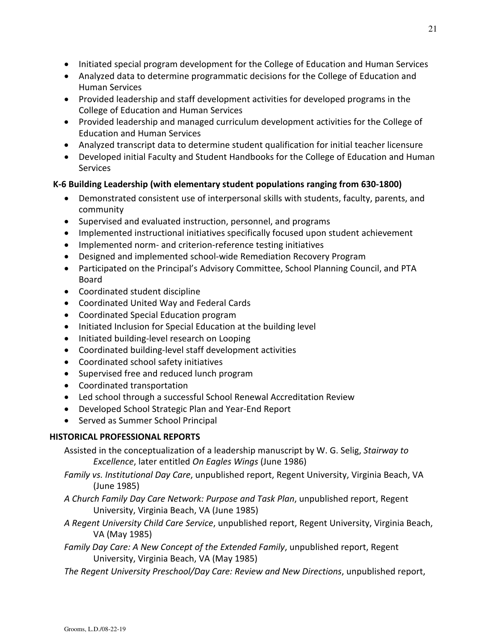- Initiated special program development for the College of Education and Human Services
- Analyzed data to determine programmatic decisions for the College of Education and Human Services
- Provided leadership and staff development activities for developed programs in the College of Education and Human Services
- Provided leadership and managed curriculum development activities for the College of Education and Human Services
- Analyzed transcript data to determine student qualification for initial teacher licensure
- Developed initial Faculty and Student Handbooks for the College of Education and Human Services

# **K-6 Building Leadership (with elementary student populations ranging from 630-1800)**

- Demonstrated consistent use of interpersonal skills with students, faculty, parents, and community
- Supervised and evaluated instruction, personnel, and programs
- Implemented instructional initiatives specifically focused upon student achievement
- Implemented norm- and criterion-reference testing initiatives
- Designed and implemented school-wide Remediation Recovery Program
- Participated on the Principal's Advisory Committee, School Planning Council, and PTA Board
- Coordinated student discipline
- Coordinated United Way and Federal Cards
- Coordinated Special Education program
- Initiated Inclusion for Special Education at the building level
- Initiated building-level research on Looping
- Coordinated building-level staff development activities
- Coordinated school safety initiatives
- Supervised free and reduced lunch program
- Coordinated transportation
- Led school through a successful School Renewal Accreditation Review
- Developed School Strategic Plan and Year-End Report
- Served as Summer School Principal

# **HISTORICAL PROFESSIONAL REPORTS**

Assisted in the conceptualization of a leadership manuscript by W. G. Selig, *Stairway to Excellence*, later entitled *On Eagles Wings* (June 1986)

- *Family vs. Institutional Day Care*, unpublished report, Regent University, Virginia Beach, VA (June 1985)
- *A Church Family Day Care Network: Purpose and Task Plan*, unpublished report, Regent University, Virginia Beach, VA (June 1985)
- *A Regent University Child Care Service*, unpublished report, Regent University, Virginia Beach, VA (May 1985)
- *Family Day Care: A New Concept of the Extended Family*, unpublished report, Regent University, Virginia Beach, VA (May 1985)
- *The Regent University Preschool/Day Care: Review and New Directions*, unpublished report,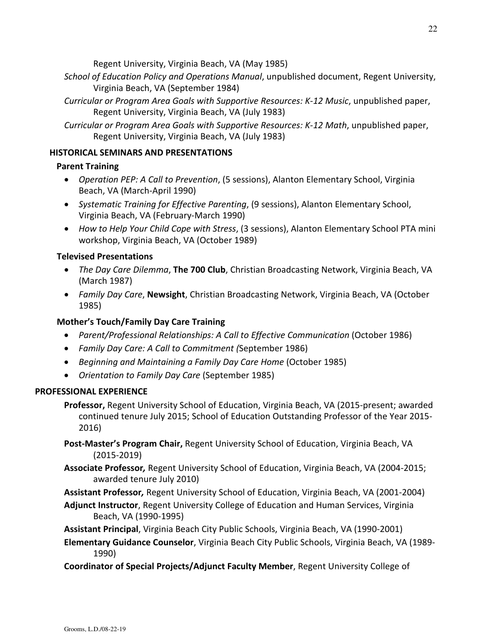Regent University, Virginia Beach, VA (May 1985)

- *School of Education Policy and Operations Manual*, unpublished document, Regent University, Virginia Beach, VA (September 1984)
- *Curricular or Program Area Goals with Supportive Resources: K-12 Music*, unpublished paper, Regent University, Virginia Beach, VA (July 1983)
- *Curricular or Program Area Goals with Supportive Resources: K-12 Math*, unpublished paper, Regent University, Virginia Beach, VA (July 1983)

## **HISTORICAL SEMINARS AND PRESENTATIONS**

## **Parent Training**

- *Operation PEP: A Call to Prevention*, (5 sessions), Alanton Elementary School, Virginia Beach, VA (March-April 1990)
- *Systematic Training for Effective Parenting*, (9 sessions), Alanton Elementary School, Virginia Beach, VA (February-March 1990)
- *How to Help Your Child Cope with Stress*, (3 sessions), Alanton Elementary School PTA mini workshop, Virginia Beach, VA (October 1989)

# **Televised Presentations**

- *The Day Care Dilemma*, **The 700 Club**, Christian Broadcasting Network, Virginia Beach, VA (March 1987)
- *Family Day Care*, **Newsight**, Christian Broadcasting Network, Virginia Beach, VA (October 1985)

# **Mother's Touch/Family Day Care Training**

- *Parent/Professional Relationships: A Call to Effective Communication* (October 1986)
- *Family Day Care: A Call to Commitment (*September 1986)
- *Beginning and Maintaining a Family Day Care Home* (October 1985)
- *Orientation to Family Day Care* (September 1985)

# **PROFESSIONAL EXPERIENCE**

- **Professor,** Regent University School of Education, Virginia Beach, VA (2015-present; awarded continued tenure July 2015; School of Education Outstanding Professor of the Year 2015- 2016)
- **Post-Master's Program Chair,** Regent University School of Education, Virginia Beach, VA (2015-2019)
- **Associate Professor***,* Regent University School of Education, Virginia Beach, VA (2004-2015; awarded tenure July 2010)

**Assistant Professor***,* Regent University School of Education, Virginia Beach, VA (2001-2004)

- **Adjunct Instructor**, Regent University College of Education and Human Services, Virginia Beach, VA (1990-1995)
- **Assistant Principal**, Virginia Beach City Public Schools, Virginia Beach, VA (1990-2001)

**Elementary Guidance Counselor**, Virginia Beach City Public Schools, Virginia Beach, VA (1989- 1990)

**Coordinator of Special Projects/Adjunct Faculty Member**, Regent University College of